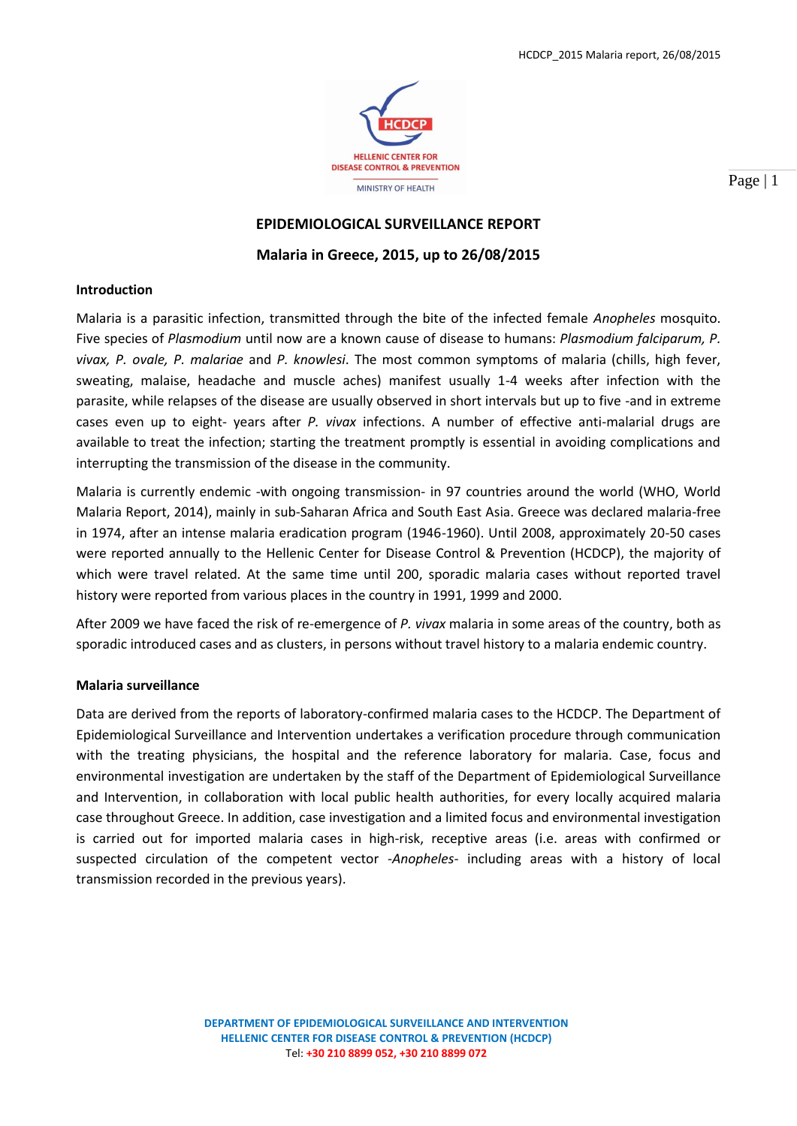

Page | 1

# **EPIDEMIOLOGICAL SURVEILLANCE REPORT**

**Malaria in Greece, 2015, up to 26/08/2015**

## **Introduction**

Malaria is a parasitic infection, transmitted through the bite of the infected female *Anopheles* mosquito. Five species of *Plasmodium* until now are a known cause of disease to humans: *Plasmodium falciparum, P. vivax, P. ovale, P. malariae* and *P. knowlesi*. The most common symptoms of malaria (chills, high fever, sweating, malaise, headache and muscle aches) manifest usually 1-4 weeks after infection with the parasite, while relapses of the disease are usually observed in short intervals but up to five -and in extreme cases even up to eight- years after *P. vivax* infections. A number of effective anti-malarial drugs are available to treat the infection; starting the treatment promptly is essential in avoiding complications and interrupting the transmission of the disease in the community.

Malaria is currently endemic -with ongoing transmission- in 97 countries around the world (WHO, World Malaria Report, 2014), mainly in sub-Saharan Africa and South East Asia. Greece was declared malaria-free in 1974, after an intense malaria eradication program (1946-1960). Until 2008, approximately 20-50 cases were reported annually to the Hellenic Center for Disease Control & Prevention (HCDCP), the majority of which were travel related. At the same time until 200, sporadic malaria cases without reported travel history were reported from various places in the country in 1991, 1999 and 2000.

After 2009 we have faced the risk of re-emergence of *P. vivax* malaria in some areas of the country, both as sporadic introduced cases and as clusters, in persons without travel history to a malaria endemic country.

## **Malaria surveillance**

Data are derived from the reports of laboratory-confirmed malaria cases to the HCDCP. The Department of Epidemiological Surveillance and Intervention undertakes a verification procedure through communication with the treating physicians, the hospital and the reference laboratory for malaria. Case, focus and environmental investigation are undertaken by the staff of the Department of Epidemiological Surveillance and Intervention, in collaboration with local public health authorities, for every locally acquired malaria case throughout Greece. In addition, case investigation and a limited focus and environmental investigation is carried out for imported malaria cases in high-risk, receptive areas (i.e. areas with confirmed or suspected circulation of the competent vector -*Anopheles-* including areas with a history of local transmission recorded in the previous years).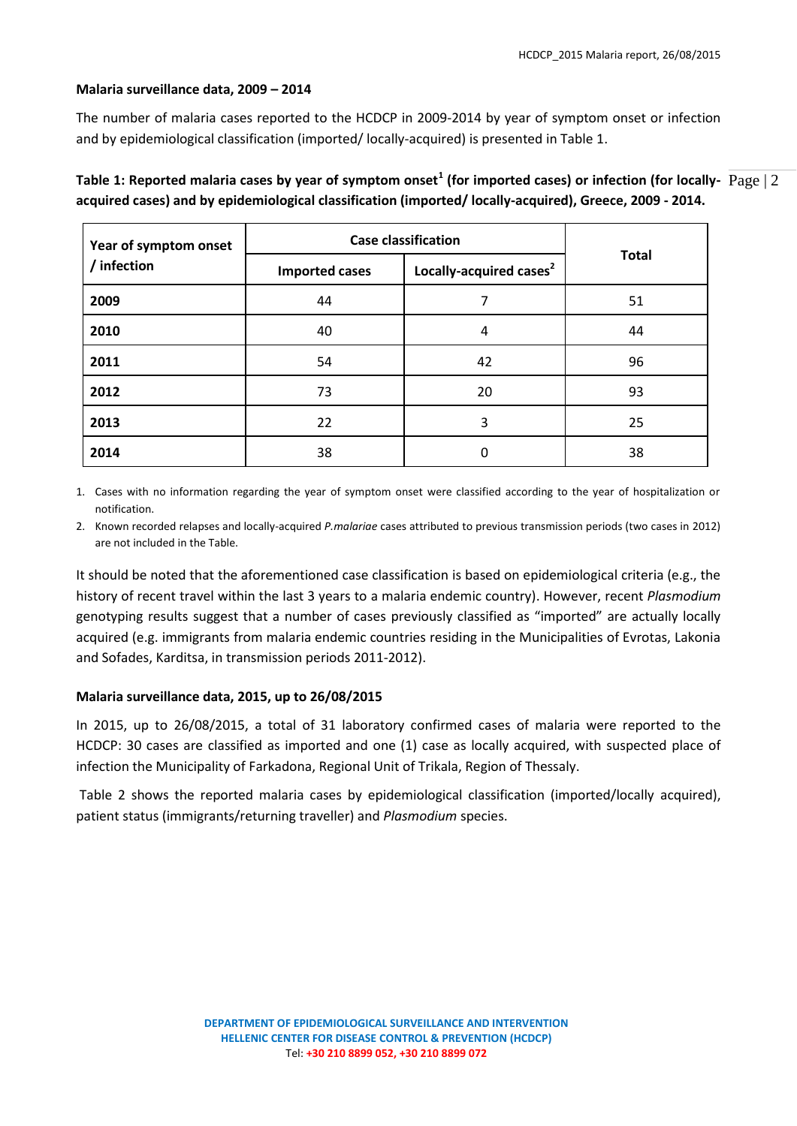## **Malaria surveillance data, 2009 – 2014**

The number of malaria cases reported to the HCDCP in 2009-2014 by year of symptom onset or infection and by epidemiological classification (imported/ locally-acquired) is presented in Table 1.

| Year of symptom onset<br>/ infection | <b>Case classification</b> |                                     |              |
|--------------------------------------|----------------------------|-------------------------------------|--------------|
|                                      | <b>Imported cases</b>      | Locally-acquired cases <sup>2</sup> | <b>Total</b> |
| 2009                                 | 44                         |                                     | 51           |
| 2010                                 | 40                         | 4                                   | 44           |
| 2011                                 | 54                         | 42                                  | 96           |
| 2012                                 | 73                         | 20                                  | 93           |
| 2013                                 | 22                         |                                     | 25           |

Table 1: Reported malaria cases by year of symptom onset<sup>1</sup> (for imported cases) or infection (for locally-  $\rm Page$  | 2 **acquired cases) and by epidemiological classification (imported/ locally-acquired), Greece, 2009 - 2014.**

1. Cases with no information regarding the year of symptom onset were classified according to the year of hospitalization or notification.

**2014** 38 0 38

2. Known recorded relapses and locally-acquired *P.malariae* cases attributed to previous transmission periods (two cases in 2012) are not included in the Table.

It should be noted that the aforementioned case classification is based on epidemiological criteria (e.g., the history of recent travel within the last 3 years to a malaria endemic country). However, recent *Plasmodium* genotyping results suggest that a number of cases previously classified as "imported" are actually locally acquired (e.g. immigrants from malaria endemic countries residing in the Municipalities of Evrotas, Lakonia and Sofades, Karditsa, in transmission periods 2011-2012).

## **Malaria surveillance data, 2015, up to 26/08/2015**

In 2015, up to 26/08/2015, a total of 31 laboratory confirmed cases of malaria were reported to the HCDCP: 30 cases are classified as imported and one (1) case as locally acquired, with suspected place of infection the Municipality of Farkadona, Regional Unit of Trikala, Region of Thessaly.

Table 2 shows the reported malaria cases by epidemiological classification (imported/locally acquired), patient status (immigrants/returning traveller) and *Plasmodium* species.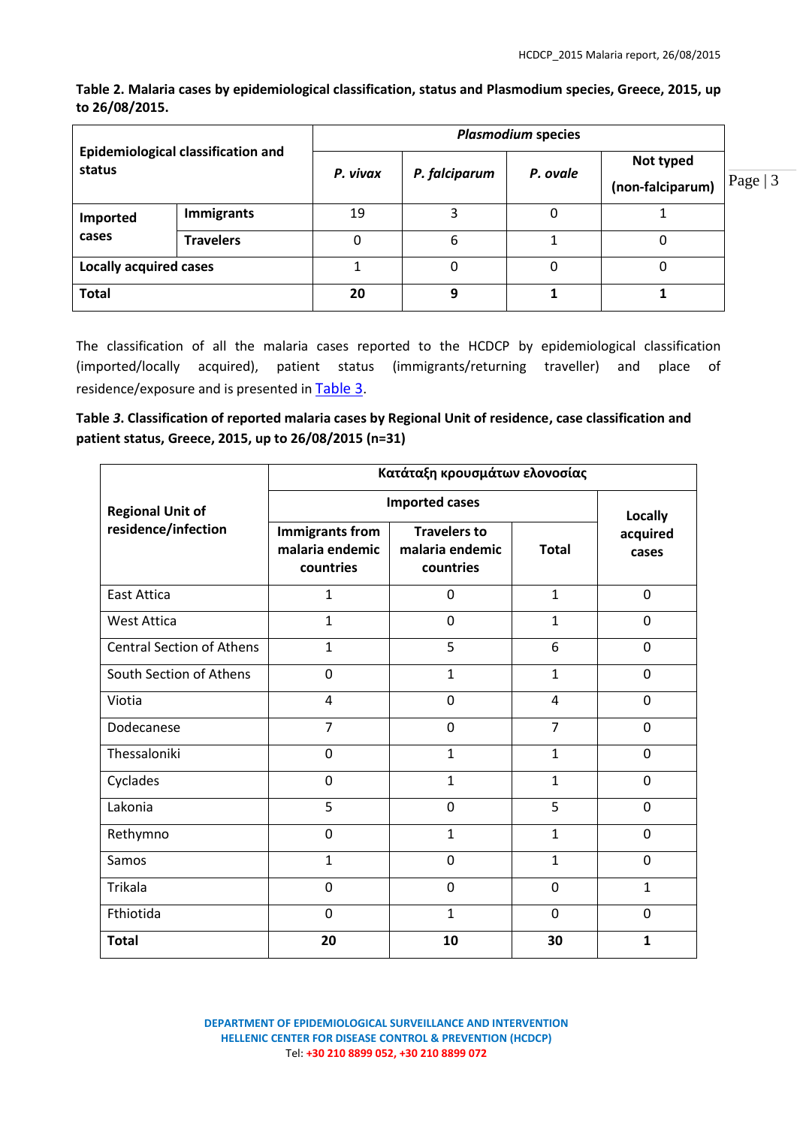**Table 2. Malaria cases by epidemiological classification, status and Plasmodium species, Greece, 2015, up to 26/08/2015.**

| <b>Epidemiological classification and</b><br>status |                   | <b>Plasmodium species</b> |               |          |                               |           |
|-----------------------------------------------------|-------------------|---------------------------|---------------|----------|-------------------------------|-----------|
|                                                     |                   | P. vivax                  | P. falciparum | P. ovale | Not typed<br>(non-falciparum) | Page $ 3$ |
| Imported                                            | <b>Immigrants</b> | 19                        | 3             |          |                               |           |
| cases                                               | <b>Travelers</b>  | 0                         | 6             |          | 0                             |           |
| <b>Locally acquired cases</b>                       |                   |                           | 0             |          | 0                             |           |
| <b>Total</b>                                        |                   | 20                        | 9             |          |                               |           |

The classification of all the malaria cases reported to the HCDCP by epidemiological classification (imported/locally acquired), patient status (immigrants/returning traveller) and place of residence/exposure and is presented in [Table 3](#page-2-0).

<span id="page-2-0"></span>**Table** *3***. Classification of reported malaria cases by Regional Unit of residence, case classification and patient status, Greece, 2015, up to 26/08/2015 (n=31)**

|                                  | Κατάταξη κρουσμάτων ελονοσίας                          |                                                     |                |                   |  |  |
|----------------------------------|--------------------------------------------------------|-----------------------------------------------------|----------------|-------------------|--|--|
| <b>Regional Unit of</b>          | <b>Imported cases</b>                                  | <b>Locally</b>                                      |                |                   |  |  |
| residence/infection              | <b>Immigrants from</b><br>malaria endemic<br>countries | <b>Travelers to</b><br>malaria endemic<br>countries | <b>Total</b>   | acquired<br>cases |  |  |
| <b>East Attica</b>               | $\mathbf{1}$                                           | 0                                                   | $\mathbf{1}$   | $\mathbf 0$       |  |  |
| <b>West Attica</b>               | $\mathbf{1}$                                           | $\mathbf 0$                                         | $\mathbf{1}$   | $\mathbf 0$       |  |  |
| <b>Central Section of Athens</b> | $\mathbf{1}$                                           | 5                                                   | 6              | $\mathbf 0$       |  |  |
| South Section of Athens          | 0                                                      | $\mathbf{1}$                                        | $\mathbf{1}$   | $\Omega$          |  |  |
| Viotia                           | 4                                                      | $\mathbf 0$                                         | 4              | $\mathbf 0$       |  |  |
| Dodecanese                       | $\overline{7}$                                         | $\mathbf 0$                                         | $\overline{7}$ | 0                 |  |  |
| Thessaloniki                     | 0                                                      | $\mathbf{1}$                                        | $\mathbf{1}$   | $\mathbf 0$       |  |  |
| Cyclades                         | $\Omega$                                               | $\mathbf{1}$                                        | $\mathbf{1}$   | $\Omega$          |  |  |
| Lakonia                          | 5                                                      | $\mathbf 0$                                         | 5              | $\Omega$          |  |  |
| Rethymno                         | 0                                                      | $\mathbf{1}$                                        | $\mathbf{1}$   | $\Omega$          |  |  |
| Samos                            | $\mathbf{1}$                                           | $\Omega$                                            | $\mathbf{1}$   | $\Omega$          |  |  |
| Trikala                          | 0                                                      | $\Omega$                                            | $\Omega$       | 1                 |  |  |
| Fthiotida                        | $\mathbf 0$                                            | $\mathbf{1}$                                        | $\Omega$       | $\Omega$          |  |  |
| <b>Total</b>                     | 20                                                     | 10                                                  | 30             | $\mathbf{1}$      |  |  |

**DEPARTMENT OF EPIDEMIOLOGICAL SURVEILLANCE AND INTERVENTION HELLENIC CENTER FOR DISEASE CONTROL & PREVENTION (HCDCP)** Tel: **+30 210 8899 052, +30 210 8899 072**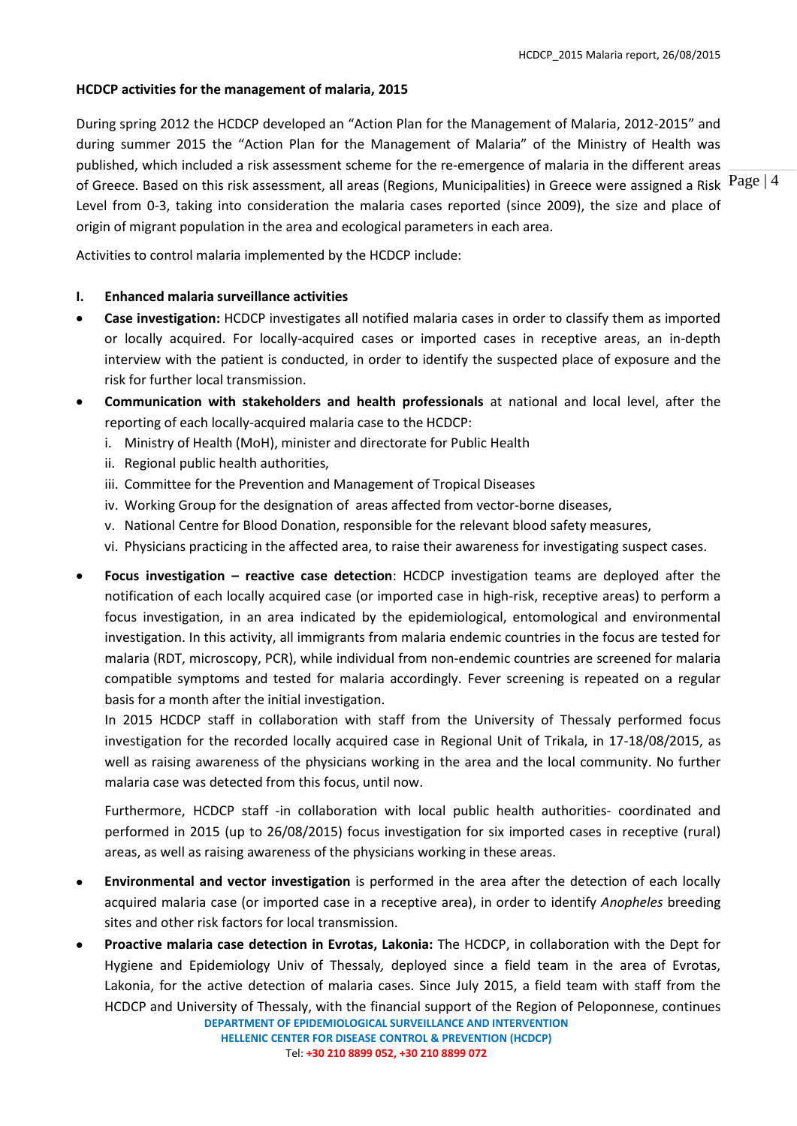# **HCDCP activities for the management of malaria, 2015**

Page | 4 of Greece. Based on this risk assessment, all areas (Regions, Municipalities) in Greece were assigned a Risk During spring 2012 the HCDCP developed an "Action Plan for the Management of Malaria, 2012-2015" and during summer 2015 the "Action Plan for the Management of Malaria" of the Ministry of Health was published, which included a risk assessment scheme for the re-emergence of malaria in the different areas Level from 0-3, taking into consideration the malaria cases reported (since 2009), the size and place of origin of migrant population in the area and ecological parameters in each area.

Activities to control malaria implemented by the HCDCP include:

## **I. Enhanced malaria surveillance activities**

- **Case investigation:** HCDCP investigates all notified malaria cases in order to classify them as imported or locally acquired. For locally-acquired cases or imported cases in receptive areas, an in-depth interview with the patient is conducted, in order to identify the suspected place of exposure and the risk for further local transmission.
- **Communication with stakeholders and health professionals** at national and local level, after the reporting of each locally-acquired malaria case to the HCDCP:
	- i. Ministry of Health (MoH), minister and directorate for Public Health
	- ii. Regional public health authorities,
	- iii. Committee for the Prevention and Management of Tropical Diseases
	- iv. Working Group for the designation of areas affected from vector-borne diseases,
	- v. National Centre for Blood Donation, responsible for the relevant blood safety measures,
	- vi. Physicians practicing in the affected area, to raise their awareness for investigating suspect cases.
- **Focus investigation – reactive case detection**: HCDCP investigation teams are deployed after the notification of each locally acquired case (or imported case in high-risk, receptive areas) to perform a focus investigation, in an area indicated by the epidemiological, entomological and environmental investigation. In this activity, all immigrants from malaria endemic countries in the focus are tested for malaria (RDT, microscopy, PCR), while individual from non-endemic countries are screened for malaria compatible symptoms and tested for malaria accordingly. Fever screening is repeated on a regular basis for a month after the initial investigation.

In 2015 HCDCP staff in collaboration with staff from the University of Thessaly performed focus investigation for the recorded locally acquired case in Regional Unit of Trikala, in 17-18/08/2015, as well as raising awareness of the physicians working in the area and the local community. No further malaria case was detected from this focus, until now.

Furthermore, HCDCP staff -in collaboration with local public health authorities- coordinated and performed in 2015 (up to 26/08/2015) focus investigation for six imported cases in receptive (rural) areas, as well as raising awareness of the physicians working in these areas.

- **Environmental and vector investigation** is performed in the area after the detection of each locally acquired malaria case (or imported case in a receptive area), in order to identify *Anopheles* breeding sites and other risk factors for local transmission.
- **DEPARTMENT OF EPIDEMIOLOGICAL SURVEILLANCE AND INTERVENTION HELLENIC CENTER FOR DISEASE CONTROL & PREVENTION (HCDCP)** Tel: **+30 210 8899 052, +30 210 8899 072 Proactive malaria case detection in Evrotas, Lakonia:** The HCDCP, in collaboration with the Dept for Hygiene and Epidemiology Univ of Thessaly*,* deployed since a field team in the area of Evrotas, Lakonia, for the active detection of malaria cases. Since July 2015, a field team with staff from the HCDCP and University of Thessaly, with the financial support of the Region of Peloponnese, continues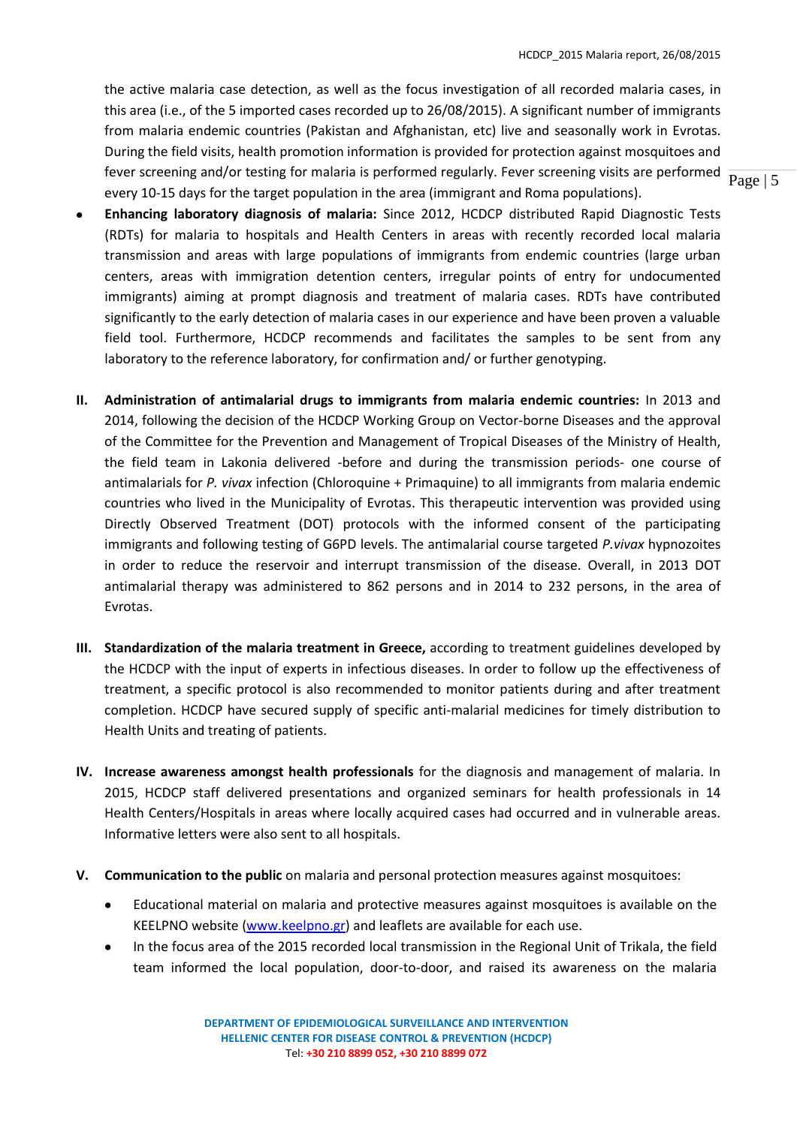fever screening and/or testing for malaria is performed regularly. Fever screening visits are performed  $\frac{}{\text{Page } | 5}$ the active malaria case detection, as well as the focus investigation of all recorded malaria cases, in this area (i.e., of the 5 imported cases recorded up to 26/08/2015). A significant number of immigrants from malaria endemic countries (Pakistan and Afghanistan, etc) live and seasonally work in Evrotas. During the field visits, health promotion information is provided for protection against mosquitoes and every 10-15 days for the target population in the area (immigrant and Roma populations).

- **Enhancing laboratory diagnosis of malaria:** Since 2012, HCDCP distributed Rapid Diagnostic Tests (RDTs) for malaria to hospitals and Health Centers in areas with recently recorded local malaria transmission and areas with large populations of immigrants from endemic countries (large urban centers, areas with immigration detention centers, irregular points of entry for undocumented immigrants) aiming at prompt diagnosis and treatment of malaria cases. RDTs have contributed significantly to the early detection of malaria cases in our experience and have been proven a valuable field tool. Furthermore, HCDCP recommends and facilitates the samples to be sent from any laboratory to the reference laboratory, for confirmation and/ or further genotyping.
- **II. Administration of antimalarial drugs to immigrants from malaria endemic countries:** In 2013 and 2014, following the decision of the HCDCP Working Group on Vector-borne Diseases and the approval of the Committee for the Prevention and Management of Tropical Diseases of the Ministry of Health, the field team in Lakonia delivered -before and during the transmission periods- one course of antimalarials for *P. vivax* infection (Chloroquine + Primaquine) to all immigrants from malaria endemic countries who lived in the Municipality of Evrotas. This therapeutic intervention was provided using Directly Observed Treatment (DOT) protocols with the informed consent of the participating immigrants and following testing of G6PD levels. The antimalarial course targeted *P.vivax* hypnozoites in order to reduce the reservoir and interrupt transmission of the disease. Overall, in 2013 DOT antimalarial therapy was administered to 862 persons and in 2014 to 232 persons, in the area of Evrotas.
- **III. Standardization of the malaria treatment in Greece,** according to treatment guidelines developed by the HCDCP with the input of experts in infectious diseases. In order to follow up the effectiveness of treatment, a specific protocol is also recommended to monitor patients during and after treatment completion. HCDCP have secured supply of specific anti-malarial medicines for timely distribution to Health Units and treating of patients.
- **IV. Increase awareness amongst health professionals** for the diagnosis and management of malaria. In 2015, HCDCP staff delivered presentations and organized seminars for health professionals in 14 Health Centers/Hospitals in areas where locally acquired cases had occurred and in vulnerable areas. Informative letters were also sent to all hospitals.
- **V. Communication to the public** on malaria and personal protection measures against mosquitoes:
	- Educational material on malaria and protective measures against mosquitoes is available on the KEELPNO website [\(www.keelpno.gr\)](http://www.keelpno.gr/) and leaflets are available for each use.
	- In the focus area of the 2015 recorded local transmission in the Regional Unit of Trikala, the field team informed the local population, door-to-door, and raised its awareness on the malaria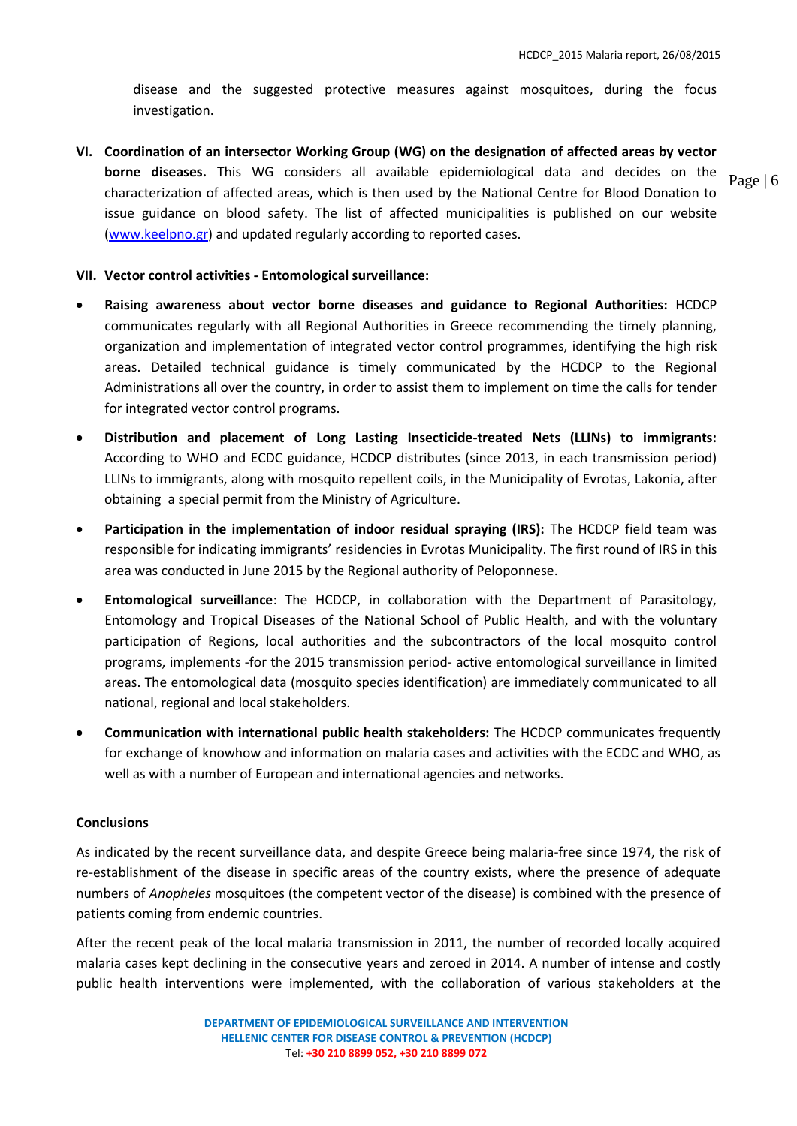disease and the suggested protective measures against mosquitoes, during the focus investigation.

**VI. Coordination of an intersector Working Group (WG) on the designation of affected areas by vector borne diseases.** This WG considers all available epidemiological data and decides on the characterization of affected areas, which is then used by the National Centre for Blood Donation to issue guidance on blood safety. The list of affected municipalities is published on our website [\(www.keelpno.gr\)](http://www.keelpno.gr/) and updated regularly according to reported cases.

#### **VII. Vector control activities - Entomological surveillance:**

- **Raising awareness about vector borne diseases and guidance to Regional Authorities:** HCDCP communicates regularly with all Regional Authorities in Greece recommending the timely planning, organization and implementation of integrated vector control programmes, identifying the high risk areas. Detailed technical guidance is timely communicated by the HCDCP to the Regional Administrations all over the country, in order to assist them to implement on time the calls for tender for integrated vector control programs.
- **Distribution and placement of Long Lasting Insecticide-treated Nets (LLINs) to immigrants:**   $\bullet$ According to WHO and ECDC guidance, HCDCP distributes (since 2013, in each transmission period) LLINs to immigrants, along with mosquito repellent coils, in the Municipality of Evrotas, Lakonia, after obtaining a special permit from the Ministry of Agriculture.
- **Participation in the implementation of indoor residual spraying (IRS):** The HCDCP field team was responsible for indicating immigrants' residencies in Evrotas Municipality. The first round of IRS in this area was conducted in June 2015 by the Regional authority of Peloponnese.
- **Entomological surveillance**: The HCDCP, in collaboration with the Department of Parasitology,  $\bullet$ Entomology and Tropical Diseases of the National School of Public Health, and with the voluntary participation of Regions, local authorities and the subcontractors of the local mosquito control programs, implements -for the 2015 transmission period- active entomological surveillance in limited areas. The entomological data (mosquito species identification) are immediately communicated to all national, regional and local stakeholders.
- **Communication with international public health stakeholders:** The HCDCP communicates frequently  $\bullet$ for exchange of knowhow and information on malaria cases and activities with the ECDC and WHO, as well as with a number of European and international agencies and networks.

#### **Conclusions**

As indicated by the recent surveillance data, and despite Greece being malaria-free since 1974, the risk of re-establishment of the disease in specific areas of the country exists, where the presence of adequate numbers of *Anopheles* mosquitoes (the competent vector of the disease) is combined with the presence of patients coming from endemic countries.

After the recent peak of the local malaria transmission in 2011, the number of recorded locally acquired malaria cases kept declining in the consecutive years and zeroed in 2014. A number of intense and costly public health interventions were implemented, with the collaboration of various stakeholders at the

Page | 6